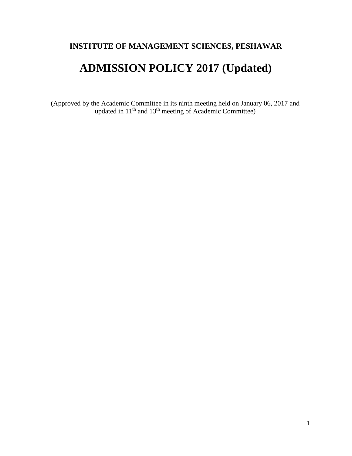## **INSTITUTE OF MANAGEMENT SCIENCES, PESHAWAR**

# **ADMISSION POLICY 2017 (Updated)**

(Approved by the Academic Committee in its ninth meeting held on January 06, 2017 and updated in  $11<sup>th</sup>$  and  $13<sup>th</sup>$  meeting of Academic Committee)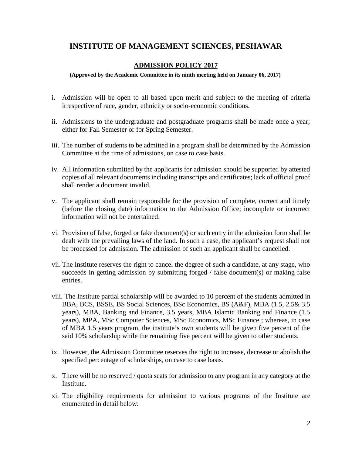### **INSTITUTE OF MANAGEMENT SCIENCES, PESHAWAR**

#### **ADMISSION POLICY 2017**

**(Approved by the Academic Committee in its ninth meeting held on January 06, 2017)**

- i. Admission will be open to all based upon merit and subject to the meeting of criteria irrespective of race, gender, ethnicity or socio-economic conditions.
- ii. Admissions to the undergraduate and postgraduate programs shall be made once a year; either for Fall Semester or for Spring Semester.
- iii. The number of students to be admitted in a program shall be determined by the Admission Committee at the time of admissions, on case to case basis.
- iv. All information submitted by the applicants for admission should be supported by attested copies of all relevant documents including transcripts and certificates; lack of official proof shall render a document invalid.
- v. The applicant shall remain responsible for the provision of complete, correct and timely (before the closing date) information to the Admission Office; incomplete or incorrect information will not be entertained.
- vi. Provision of false, forged or fake document(s) or such entry in the admission form shall be dealt with the prevailing laws of the land. In such a case, the applicant's request shall not be processed for admission. The admission of such an applicant shall be cancelled.
- vii. The Institute reserves the right to cancel the degree of such a candidate, at any stage, who succeeds in getting admission by submitting forged / false document(s) or making false entries.
- viii. The Institute partial scholarship will be awarded to 10 percent of the students admitted in BBA, BCS, BSSE, BS Social Sciences, BSc Economics, BS (A&F), MBA (1.5, 2.5& 3.5 years), MBA, Banking and Finance, 3.5 years, MBA Islamic Banking and Finance (1.5 years), MPA, MSc Computer Sciences, MSc Economics, MSc Finance ; whereas, in case of MBA 1.5 years program, the institute's own students will be given five percent of the said 10% scholarship while the remaining five percent will be given to other students.
- ix. However, the Admission Committee reserves the right to increase, decrease or abolish the specified percentage of scholarships, on case to case basis.
- x. There will be no reserved / quota seats for admission to any program in any category at the Institute.
- xi. The eligibility requirements for admission to various programs of the Institute are enumerated in detail below: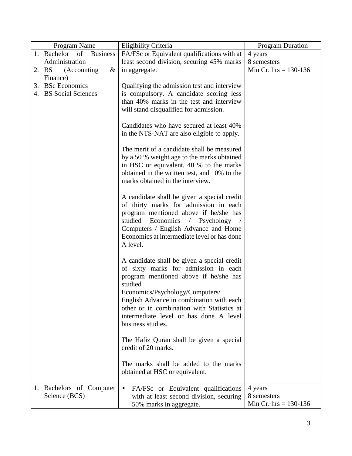| of<br><b>Business</b><br>1. Bachelor<br>FA/FSc or Equivalent qualifications with at<br>4 years<br>Administration<br>least second division, securing 45% marks<br>8 semesters<br>Min Cr. $hrs = 130-136$<br>2. BS<br>(Accounting)<br>in aggregate.<br>$\&$<br>Finance)<br>3. BSc Economics<br>Qualifying the admission test and interview<br>4. BS Social Sciences<br>is compulsory. A candidate scoring less<br>than 40% marks in the test and interview<br>will stand disqualified for admission.<br>Candidates who have secured at least 40%<br>in the NTS-NAT are also eligible to apply.<br>The merit of a candidate shall be measured<br>by a 50 % weight age to the marks obtained<br>in HSC or equivalent, 40 % to the marks<br>obtained in the written test, and 10% to the<br>marks obtained in the interview.<br>A candidate shall be given a special credit<br>of thirty marks for admission in each<br>program mentioned above if he/she has<br>studied Economics / Psychology<br>Computers / English Advance and Home<br>Economics at intermediate level or has done<br>A level.<br>A candidate shall be given a special credit<br>of sixty marks for admission in each<br>program mentioned above if he/she has<br>studied<br>Economics/Psychology/Computers/<br>English Advance in combination with each<br>other or in combination with Statistics at<br>intermediate level or has done A level<br>business studies. | Program Name | Eligibility Criteria | <b>Program Duration</b> |
|--------------------------------------------------------------------------------------------------------------------------------------------------------------------------------------------------------------------------------------------------------------------------------------------------------------------------------------------------------------------------------------------------------------------------------------------------------------------------------------------------------------------------------------------------------------------------------------------------------------------------------------------------------------------------------------------------------------------------------------------------------------------------------------------------------------------------------------------------------------------------------------------------------------------------------------------------------------------------------------------------------------------------------------------------------------------------------------------------------------------------------------------------------------------------------------------------------------------------------------------------------------------------------------------------------------------------------------------------------------------------------------------------------------------------------------|--------------|----------------------|-------------------------|
|                                                                                                                                                                                                                                                                                                                                                                                                                                                                                                                                                                                                                                                                                                                                                                                                                                                                                                                                                                                                                                                                                                                                                                                                                                                                                                                                                                                                                                      |              |                      |                         |
|                                                                                                                                                                                                                                                                                                                                                                                                                                                                                                                                                                                                                                                                                                                                                                                                                                                                                                                                                                                                                                                                                                                                                                                                                                                                                                                                                                                                                                      |              |                      |                         |
|                                                                                                                                                                                                                                                                                                                                                                                                                                                                                                                                                                                                                                                                                                                                                                                                                                                                                                                                                                                                                                                                                                                                                                                                                                                                                                                                                                                                                                      |              |                      |                         |
|                                                                                                                                                                                                                                                                                                                                                                                                                                                                                                                                                                                                                                                                                                                                                                                                                                                                                                                                                                                                                                                                                                                                                                                                                                                                                                                                                                                                                                      |              |                      |                         |
|                                                                                                                                                                                                                                                                                                                                                                                                                                                                                                                                                                                                                                                                                                                                                                                                                                                                                                                                                                                                                                                                                                                                                                                                                                                                                                                                                                                                                                      |              |                      |                         |
|                                                                                                                                                                                                                                                                                                                                                                                                                                                                                                                                                                                                                                                                                                                                                                                                                                                                                                                                                                                                                                                                                                                                                                                                                                                                                                                                                                                                                                      |              |                      |                         |
|                                                                                                                                                                                                                                                                                                                                                                                                                                                                                                                                                                                                                                                                                                                                                                                                                                                                                                                                                                                                                                                                                                                                                                                                                                                                                                                                                                                                                                      |              |                      |                         |
|                                                                                                                                                                                                                                                                                                                                                                                                                                                                                                                                                                                                                                                                                                                                                                                                                                                                                                                                                                                                                                                                                                                                                                                                                                                                                                                                                                                                                                      |              |                      |                         |
|                                                                                                                                                                                                                                                                                                                                                                                                                                                                                                                                                                                                                                                                                                                                                                                                                                                                                                                                                                                                                                                                                                                                                                                                                                                                                                                                                                                                                                      |              |                      |                         |
|                                                                                                                                                                                                                                                                                                                                                                                                                                                                                                                                                                                                                                                                                                                                                                                                                                                                                                                                                                                                                                                                                                                                                                                                                                                                                                                                                                                                                                      |              |                      |                         |
|                                                                                                                                                                                                                                                                                                                                                                                                                                                                                                                                                                                                                                                                                                                                                                                                                                                                                                                                                                                                                                                                                                                                                                                                                                                                                                                                                                                                                                      |              |                      |                         |
|                                                                                                                                                                                                                                                                                                                                                                                                                                                                                                                                                                                                                                                                                                                                                                                                                                                                                                                                                                                                                                                                                                                                                                                                                                                                                                                                                                                                                                      |              |                      |                         |
|                                                                                                                                                                                                                                                                                                                                                                                                                                                                                                                                                                                                                                                                                                                                                                                                                                                                                                                                                                                                                                                                                                                                                                                                                                                                                                                                                                                                                                      |              |                      |                         |
|                                                                                                                                                                                                                                                                                                                                                                                                                                                                                                                                                                                                                                                                                                                                                                                                                                                                                                                                                                                                                                                                                                                                                                                                                                                                                                                                                                                                                                      |              |                      |                         |
|                                                                                                                                                                                                                                                                                                                                                                                                                                                                                                                                                                                                                                                                                                                                                                                                                                                                                                                                                                                                                                                                                                                                                                                                                                                                                                                                                                                                                                      |              |                      |                         |
|                                                                                                                                                                                                                                                                                                                                                                                                                                                                                                                                                                                                                                                                                                                                                                                                                                                                                                                                                                                                                                                                                                                                                                                                                                                                                                                                                                                                                                      |              |                      |                         |
|                                                                                                                                                                                                                                                                                                                                                                                                                                                                                                                                                                                                                                                                                                                                                                                                                                                                                                                                                                                                                                                                                                                                                                                                                                                                                                                                                                                                                                      |              |                      |                         |
|                                                                                                                                                                                                                                                                                                                                                                                                                                                                                                                                                                                                                                                                                                                                                                                                                                                                                                                                                                                                                                                                                                                                                                                                                                                                                                                                                                                                                                      |              |                      |                         |
|                                                                                                                                                                                                                                                                                                                                                                                                                                                                                                                                                                                                                                                                                                                                                                                                                                                                                                                                                                                                                                                                                                                                                                                                                                                                                                                                                                                                                                      |              |                      |                         |
|                                                                                                                                                                                                                                                                                                                                                                                                                                                                                                                                                                                                                                                                                                                                                                                                                                                                                                                                                                                                                                                                                                                                                                                                                                                                                                                                                                                                                                      |              |                      |                         |
|                                                                                                                                                                                                                                                                                                                                                                                                                                                                                                                                                                                                                                                                                                                                                                                                                                                                                                                                                                                                                                                                                                                                                                                                                                                                                                                                                                                                                                      |              |                      |                         |
|                                                                                                                                                                                                                                                                                                                                                                                                                                                                                                                                                                                                                                                                                                                                                                                                                                                                                                                                                                                                                                                                                                                                                                                                                                                                                                                                                                                                                                      |              |                      |                         |
|                                                                                                                                                                                                                                                                                                                                                                                                                                                                                                                                                                                                                                                                                                                                                                                                                                                                                                                                                                                                                                                                                                                                                                                                                                                                                                                                                                                                                                      |              |                      |                         |
|                                                                                                                                                                                                                                                                                                                                                                                                                                                                                                                                                                                                                                                                                                                                                                                                                                                                                                                                                                                                                                                                                                                                                                                                                                                                                                                                                                                                                                      |              |                      |                         |
|                                                                                                                                                                                                                                                                                                                                                                                                                                                                                                                                                                                                                                                                                                                                                                                                                                                                                                                                                                                                                                                                                                                                                                                                                                                                                                                                                                                                                                      |              |                      |                         |
|                                                                                                                                                                                                                                                                                                                                                                                                                                                                                                                                                                                                                                                                                                                                                                                                                                                                                                                                                                                                                                                                                                                                                                                                                                                                                                                                                                                                                                      |              |                      |                         |
|                                                                                                                                                                                                                                                                                                                                                                                                                                                                                                                                                                                                                                                                                                                                                                                                                                                                                                                                                                                                                                                                                                                                                                                                                                                                                                                                                                                                                                      |              |                      |                         |
|                                                                                                                                                                                                                                                                                                                                                                                                                                                                                                                                                                                                                                                                                                                                                                                                                                                                                                                                                                                                                                                                                                                                                                                                                                                                                                                                                                                                                                      |              |                      |                         |
|                                                                                                                                                                                                                                                                                                                                                                                                                                                                                                                                                                                                                                                                                                                                                                                                                                                                                                                                                                                                                                                                                                                                                                                                                                                                                                                                                                                                                                      |              |                      |                         |
|                                                                                                                                                                                                                                                                                                                                                                                                                                                                                                                                                                                                                                                                                                                                                                                                                                                                                                                                                                                                                                                                                                                                                                                                                                                                                                                                                                                                                                      |              |                      |                         |
|                                                                                                                                                                                                                                                                                                                                                                                                                                                                                                                                                                                                                                                                                                                                                                                                                                                                                                                                                                                                                                                                                                                                                                                                                                                                                                                                                                                                                                      |              |                      |                         |
|                                                                                                                                                                                                                                                                                                                                                                                                                                                                                                                                                                                                                                                                                                                                                                                                                                                                                                                                                                                                                                                                                                                                                                                                                                                                                                                                                                                                                                      |              |                      |                         |
|                                                                                                                                                                                                                                                                                                                                                                                                                                                                                                                                                                                                                                                                                                                                                                                                                                                                                                                                                                                                                                                                                                                                                                                                                                                                                                                                                                                                                                      |              |                      |                         |
|                                                                                                                                                                                                                                                                                                                                                                                                                                                                                                                                                                                                                                                                                                                                                                                                                                                                                                                                                                                                                                                                                                                                                                                                                                                                                                                                                                                                                                      |              |                      |                         |
| The Hafiz Quran shall be given a special                                                                                                                                                                                                                                                                                                                                                                                                                                                                                                                                                                                                                                                                                                                                                                                                                                                                                                                                                                                                                                                                                                                                                                                                                                                                                                                                                                                             |              |                      |                         |
| credit of 20 marks.                                                                                                                                                                                                                                                                                                                                                                                                                                                                                                                                                                                                                                                                                                                                                                                                                                                                                                                                                                                                                                                                                                                                                                                                                                                                                                                                                                                                                  |              |                      |                         |
| The marks shall be added to the marks                                                                                                                                                                                                                                                                                                                                                                                                                                                                                                                                                                                                                                                                                                                                                                                                                                                                                                                                                                                                                                                                                                                                                                                                                                                                                                                                                                                                |              |                      |                         |
| obtained at HSC or equivalent.                                                                                                                                                                                                                                                                                                                                                                                                                                                                                                                                                                                                                                                                                                                                                                                                                                                                                                                                                                                                                                                                                                                                                                                                                                                                                                                                                                                                       |              |                      |                         |
|                                                                                                                                                                                                                                                                                                                                                                                                                                                                                                                                                                                                                                                                                                                                                                                                                                                                                                                                                                                                                                                                                                                                                                                                                                                                                                                                                                                                                                      |              |                      |                         |
| 1. Bachelors of Computer<br>4 years<br>FA/FSc or Equivalent qualifications<br>$\bullet$                                                                                                                                                                                                                                                                                                                                                                                                                                                                                                                                                                                                                                                                                                                                                                                                                                                                                                                                                                                                                                                                                                                                                                                                                                                                                                                                              |              |                      |                         |
| Science (BCS)<br>8 semesters<br>with at least second division, securing                                                                                                                                                                                                                                                                                                                                                                                                                                                                                                                                                                                                                                                                                                                                                                                                                                                                                                                                                                                                                                                                                                                                                                                                                                                                                                                                                              |              |                      |                         |
| Min Cr. $hrs = 130-136$<br>50% marks in aggregate.                                                                                                                                                                                                                                                                                                                                                                                                                                                                                                                                                                                                                                                                                                                                                                                                                                                                                                                                                                                                                                                                                                                                                                                                                                                                                                                                                                                   |              |                      |                         |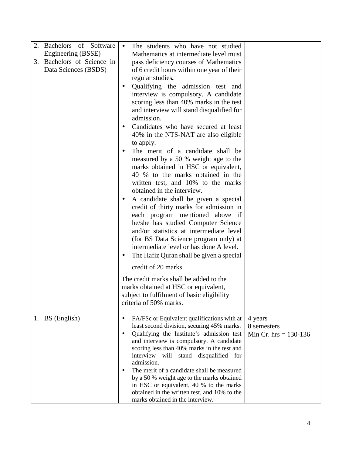| Bachelors of Software<br>Engineering (BSSE)<br>3. Bachelors of Science in<br>Data Sciences (BSDS) | The students who have not studied<br>$\bullet$<br>Mathematics at intermediate level must<br>pass deficiency courses of Mathematics<br>of 6 credit hours within one year of their<br>regular studies.<br>Qualifying the admission test and<br>$\bullet$<br>interview is compulsory. A candidate<br>scoring less than 40% marks in the test<br>and interview will stand disqualified for<br>admission.<br>Candidates who have secured at least<br>$\bullet$<br>40% in the NTS-NAT are also eligible<br>to apply.<br>The merit of a candidate shall be<br>$\bullet$<br>measured by a 50 % weight age to the<br>marks obtained in HSC or equivalent,<br>40 % to the marks obtained in the<br>written test, and 10% to the marks<br>obtained in the interview.<br>A candidate shall be given a special<br>$\bullet$<br>credit of thirty marks for admission in<br>each program mentioned above if |                                                   |
|---------------------------------------------------------------------------------------------------|----------------------------------------------------------------------------------------------------------------------------------------------------------------------------------------------------------------------------------------------------------------------------------------------------------------------------------------------------------------------------------------------------------------------------------------------------------------------------------------------------------------------------------------------------------------------------------------------------------------------------------------------------------------------------------------------------------------------------------------------------------------------------------------------------------------------------------------------------------------------------------------------|---------------------------------------------------|
|                                                                                                   | he/she has studied Computer Science<br>and/or statistics at intermediate level<br>(for BS Data Science program only) at<br>intermediate level or has done A level.<br>The Hafiz Quran shall be given a special<br>$\bullet$<br>credit of 20 marks.<br>The credit marks shall be added to the<br>marks obtained at HSC or equivalent,<br>subject to fulfilment of basic eligibility<br>criteria of 50% marks.                                                                                                                                                                                                                                                                                                                                                                                                                                                                                 |                                                   |
| 1. BS (English)                                                                                   | FA/FSc or Equivalent qualifications with at<br>$\bullet$<br>least second division, securing 45% marks.<br>Qualifying the Institute's admission test<br>$\bullet$<br>and interview is compulsory. A candidate<br>scoring less than 40% marks in the test and<br>interview will stand disqualified for<br>admission.<br>The merit of a candidate shall be measured<br>$\bullet$<br>by a 50 % weight age to the marks obtained<br>in HSC or equivalent, 40 % to the marks<br>obtained in the written test, and 10% to the<br>marks obtained in the interview.                                                                                                                                                                                                                                                                                                                                   | 4 years<br>8 semesters<br>Min Cr. hrs = $130-136$ |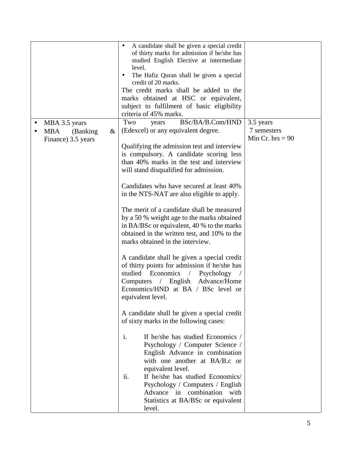|                                                                        | A candidate shall be given a special credit<br>of thirty marks for admission if he/she has<br>studied English Elective at intermediate<br>level.<br>The Hafiz Quran shall be given a special<br>credit of 20 marks.<br>The credit marks shall be added to the<br>marks obtained at HSC or equivalent,<br>subject to fulfilment of basic eligibility<br>criteria of 45% marks.                                                                                                                                                                                                                                                                                                                                                                                                                                                                                                                                                                                                                                                                                                                                                                                                                                                                                    |                                                |
|------------------------------------------------------------------------|------------------------------------------------------------------------------------------------------------------------------------------------------------------------------------------------------------------------------------------------------------------------------------------------------------------------------------------------------------------------------------------------------------------------------------------------------------------------------------------------------------------------------------------------------------------------------------------------------------------------------------------------------------------------------------------------------------------------------------------------------------------------------------------------------------------------------------------------------------------------------------------------------------------------------------------------------------------------------------------------------------------------------------------------------------------------------------------------------------------------------------------------------------------------------------------------------------------------------------------------------------------|------------------------------------------------|
| MBA 3.5 years<br><b>MBA</b><br>(Banking)<br>$\&$<br>Finance) 3.5 years | BSc/BA/B.Com/HND<br>Two<br>years<br>(Edexcel) or any equivalent degree.<br>Qualifying the admission test and interview<br>is compulsory. A candidate scoring less<br>than 40% marks in the test and interview<br>will stand disqualified for admission.<br>Candidates who have secured at least 40%<br>in the NTS-NAT are also eligible to apply.<br>The merit of a candidate shall be measured<br>by a 50 % weight age to the marks obtained<br>in BA/BSc or equivalent, 40 % to the marks<br>obtained in the written test, and 10% to the<br>marks obtained in the interview.<br>A candidate shall be given a special credit<br>of thirty points for admission if he/she has<br>studied Economics<br>$\sqrt{2}$<br>Psychology<br>$Computers$ /<br>English Advance/Home<br>Economics/HND at BA / BSc level or<br>equivalent level.<br>A candidate shall be given a special credit<br>of sixty marks in the following cases:<br>i.<br>If he/she has studied Economics /<br>Psychology / Computer Science /<br>English Advance in combination<br>with one another at BA/B.c or<br>equivalent level.<br>ii.<br>If he/she has studied Economics/<br>Psychology / Computers / English<br>Advance in combination with<br>Statistics at BA/BSc or equivalent<br>level. | 3.5 years<br>7 semesters<br>Min Cr. hrs $= 90$ |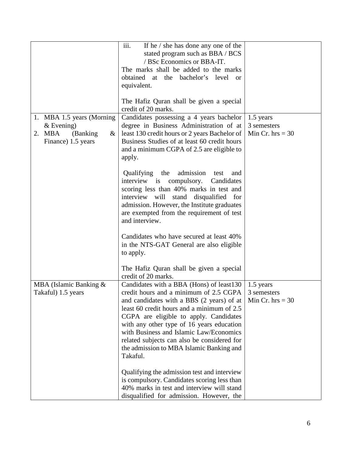|                                                                                              | iii.<br>If he $/$ she has done any one of the<br>stated program such as BBA / BCS<br>/ BSc Economics or BBA-IT.<br>The marks shall be added to the marks<br>obtained at the bachelor's level<br><sub>or</sub><br>equivalent.<br>The Hafiz Quran shall be given a special<br>credit of 20 marks.                                                                                                                                                                                                                                                                                                                |                                                |
|----------------------------------------------------------------------------------------------|----------------------------------------------------------------------------------------------------------------------------------------------------------------------------------------------------------------------------------------------------------------------------------------------------------------------------------------------------------------------------------------------------------------------------------------------------------------------------------------------------------------------------------------------------------------------------------------------------------------|------------------------------------------------|
| 1. MBA 1.5 years (Morning)<br>$&$ Evening)<br>2. MBA<br>(Banking)<br>&<br>Finance) 1.5 years | Candidates possessing a 4 years bachelor<br>degree in Business Administration of at<br>least 130 credit hours or 2 years Bachelor of<br>Business Studies of at least 60 credit hours<br>and a minimum CGPA of 2.5 are eligible to<br>apply.<br>admission<br>Qualifying the<br>test<br>and<br>interview is compulsory.<br>Candidates<br>scoring less than 40% marks in test and<br>interview will stand<br>disqualified for<br>admission. However, the Institute graduates                                                                                                                                      | 1.5 years<br>3 semesters<br>Min Cr. $hrs = 30$ |
|                                                                                              | are exempted from the requirement of test<br>and interview.<br>Candidates who have secured at least 40%<br>in the NTS-GAT General are also eligible<br>to apply.<br>The Hafiz Quran shall be given a special<br>credit of 20 marks.                                                                                                                                                                                                                                                                                                                                                                            |                                                |
| MBA (Islamic Banking &<br>Takaful) 1.5 years                                                 | Candidates with a BBA (Hons) of least130<br>credit hours and a minimum of 2.5 CGPA<br>and candidates with a BBS (2 years) of at<br>least 60 credit hours and a minimum of 2.5<br>CGPA are eligible to apply. Candidates<br>with any other type of 16 years education<br>with Business and Islamic Law/Economics<br>related subjects can also be considered for<br>the admission to MBA Islamic Banking and<br>Takaful.<br>Qualifying the admission test and interview<br>is compulsory. Candidates scoring less than<br>40% marks in test and interview will stand<br>disqualified for admission. However, the | 1.5 years<br>3 semesters<br>Min Cr. $hrs = 30$ |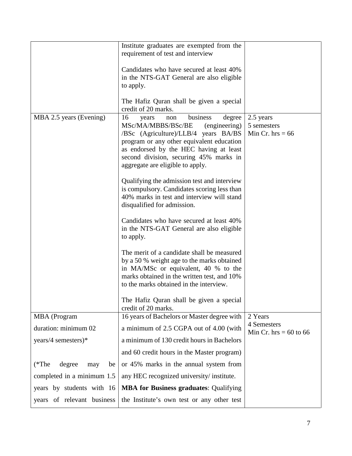|                                | Institute graduates are exempted from the<br>requirement of test and interview<br>Candidates who have secured at least 40%<br>in the NTS-GAT General are also eligible<br>to apply.<br>The Hafiz Quran shall be given a special<br>credit of 20 marks.                                                                                                                                                                                                                                                                                                                                                                                                                                                                                                                                                                                                                        |                                                |
|--------------------------------|-------------------------------------------------------------------------------------------------------------------------------------------------------------------------------------------------------------------------------------------------------------------------------------------------------------------------------------------------------------------------------------------------------------------------------------------------------------------------------------------------------------------------------------------------------------------------------------------------------------------------------------------------------------------------------------------------------------------------------------------------------------------------------------------------------------------------------------------------------------------------------|------------------------------------------------|
| MBA 2.5 years (Evening)        | 16<br>degree<br>business<br>years<br>non<br>MSc/MA/MBBS/BSc/BE<br>(engineering)<br>/BSc (Agriculture)/LLB/4 years BA/BS<br>program or any other equivalent education<br>as endorsed by the HEC having at least<br>second division, securing 45% marks in<br>aggregate are eligible to apply.<br>Qualifying the admission test and interview<br>is compulsory. Candidates scoring less than<br>40% marks in test and interview will stand<br>disqualified for admission.<br>Candidates who have secured at least 40%<br>in the NTS-GAT General are also eligible<br>to apply.<br>The merit of a candidate shall be measured<br>by a 50 % weight age to the marks obtained<br>in MA/MSc or equivalent, 40 % to the<br>marks obtained in the written test, and 10%<br>to the marks obtained in the interview.<br>The Hafiz Quran shall be given a special<br>credit of 20 marks. | 2.5 years<br>5 semesters<br>Min Cr. hrs = $66$ |
| MBA (Program                   | 16 years of Bachelors or Master degree with                                                                                                                                                                                                                                                                                                                                                                                                                                                                                                                                                                                                                                                                                                                                                                                                                                   | 2 Years                                        |
| duration: minimum 02           | a minimum of 2.5 CGPA out of 4.00 (with                                                                                                                                                                                                                                                                                                                                                                                                                                                                                                                                                                                                                                                                                                                                                                                                                                       | 4 Semesters<br>Min Cr. hrs = $60$ to $66$      |
| years/4 semesters)*            | a minimum of 130 credit hours in Bachelors                                                                                                                                                                                                                                                                                                                                                                                                                                                                                                                                                                                                                                                                                                                                                                                                                                    |                                                |
|                                | and 60 credit hours in the Master program)                                                                                                                                                                                                                                                                                                                                                                                                                                                                                                                                                                                                                                                                                                                                                                                                                                    |                                                |
| degree<br>$(*The$<br>be<br>may | or 45% marks in the annual system from                                                                                                                                                                                                                                                                                                                                                                                                                                                                                                                                                                                                                                                                                                                                                                                                                                        |                                                |
| completed in a minimum 1.5     | any HEC recognized university/institute.                                                                                                                                                                                                                                                                                                                                                                                                                                                                                                                                                                                                                                                                                                                                                                                                                                      |                                                |
| years by students with 16      | <b>MBA for Business graduates: Qualifying</b>                                                                                                                                                                                                                                                                                                                                                                                                                                                                                                                                                                                                                                                                                                                                                                                                                                 |                                                |
| years of relevant business     | the Institute's own test or any other test                                                                                                                                                                                                                                                                                                                                                                                                                                                                                                                                                                                                                                                                                                                                                                                                                                    |                                                |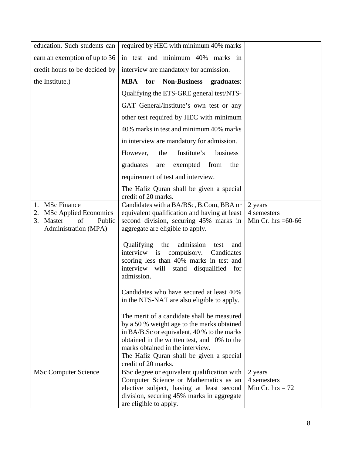| education. Such students can       | required by HEC with minimum 40% marks                                                    |                      |
|------------------------------------|-------------------------------------------------------------------------------------------|----------------------|
| earn an exemption of up to 36      | in test and minimum 40% marks in                                                          |                      |
| credit hours to be decided by      | interview are mandatory for admission.                                                    |                      |
| the Institute.)                    | <b>MBA</b> for Non-Business<br>graduates:                                                 |                      |
|                                    | Qualifying the ETS-GRE general test/NTS-                                                  |                      |
|                                    | GAT General/Institute's own test or any                                                   |                      |
|                                    | other test required by HEC with minimum                                                   |                      |
|                                    | 40% marks in test and minimum 40% marks                                                   |                      |
|                                    | in interview are mandatory for admission.                                                 |                      |
|                                    | Institute's<br>business<br>However,<br>the                                                |                      |
|                                    | exempted from<br>graduates<br>the<br>are                                                  |                      |
|                                    | requirement of test and interview.                                                        |                      |
|                                    | The Hafiz Quran shall be given a special                                                  |                      |
| 1. MSc Finance                     | credit of 20 marks.<br>Candidates with a BA/BSc, B.Com, BBA or                            | 2 years              |
| <b>MSc Applied Economics</b><br>2. | equivalent qualification and having at least                                              | 4 semesters          |
| Master<br>of<br>3.<br>Public       | second division, securing 45% marks in                                                    | Min Cr. hrs $=60-66$ |
| Administration (MPA)               | aggregate are eligible to apply.                                                          |                      |
|                                    | Qualifying<br>the<br>admission<br>test<br>and                                             |                      |
|                                    | interview is compulsory.<br>Candidates<br>scoring less than 40% marks in test and         |                      |
|                                    | interview will stand disqualified for                                                     |                      |
|                                    | admission.                                                                                |                      |
|                                    | Candidates who have secured at least 40%                                                  |                      |
|                                    | in the NTS-NAT are also eligible to apply.                                                |                      |
|                                    | The merit of a candidate shall be measured                                                |                      |
|                                    | by a 50 % weight age to the marks obtained<br>in BA/B.Sc or equivalent, 40 % to the marks |                      |
|                                    | obtained in the written test, and 10% to the                                              |                      |
|                                    | marks obtained in the interview.                                                          |                      |
|                                    | The Hafiz Quran shall be given a special                                                  |                      |
| <b>MSc Computer Science</b>        | credit of 20 marks.<br>BSc degree or equivalent qualification with                        | 2 years              |
|                                    | Computer Science or Mathematics as an                                                     | 4 semesters          |
|                                    | elective subject, having at least second                                                  | Min Cr. hrs $= 72$   |
|                                    | division, securing 45% marks in aggregate                                                 |                      |
|                                    | are eligible to apply.                                                                    |                      |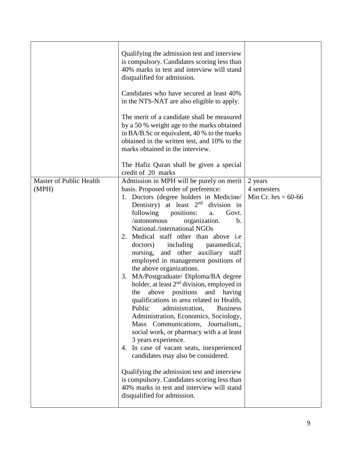|                                  | Qualifying the admission test and interview<br>is compulsory. Candidates scoring less than<br>40% marks in test and interview will stand<br>disqualified for admission.<br>Candidates who have secured at least 40%<br>in the NTS-NAT are also eligible to apply.<br>The merit of a candidate shall be measured<br>by a 50 % weight age to the marks obtained<br>in BA/B.Sc or equivalent, 40 % to the marks<br>obtained in the written test, and 10% to the<br>marks obtained in the interview.<br>The Hafiz Quran shall be given a special<br>credit of 20 marks                                                                                                                                                                                                                                                                                                                                                                                                                                                                                                                                                                             |                                                 |
|----------------------------------|------------------------------------------------------------------------------------------------------------------------------------------------------------------------------------------------------------------------------------------------------------------------------------------------------------------------------------------------------------------------------------------------------------------------------------------------------------------------------------------------------------------------------------------------------------------------------------------------------------------------------------------------------------------------------------------------------------------------------------------------------------------------------------------------------------------------------------------------------------------------------------------------------------------------------------------------------------------------------------------------------------------------------------------------------------------------------------------------------------------------------------------------|-------------------------------------------------|
| Master of Public Health<br>(MPH) | Admission in MPH will be purely on merit<br>basis. Proposed order of preference:<br>1. Doctors (degree holders in Medicine/<br>Dentistry) at least $2nd$<br>division in<br>following<br>positions:<br>Govt.<br>a.<br>/autonomous<br>organization.<br>$\mathbf b$ .<br>National./international NGOs<br>Medical staff other than above i.e.<br>2.<br>doctors)<br>including<br>paramedical,<br>nursing, and other auxiliary staff<br>employed in management positions of<br>the above organizations.<br>MA/Postgraduate/ Diploma/BA degree<br>3.<br>holder, at least $2nd$ division, employed in<br>the above positions<br>and having<br>qualifications in area related to Health,<br>Public<br>administration,<br><b>Business</b><br>Administration, Economics, Sociology,<br>Mass Communications, Journalism,,<br>social work, or pharmacy with a at least<br>3 years experience.<br>4. In case of vacant seats, inexperienced<br>candidates may also be considered.<br>Qualifying the admission test and interview<br>is compulsory. Candidates scoring less than<br>40% marks in test and interview will stand<br>disqualified for admission. | 2 years<br>4 semesters<br>Min Cr. hrs = $60-66$ |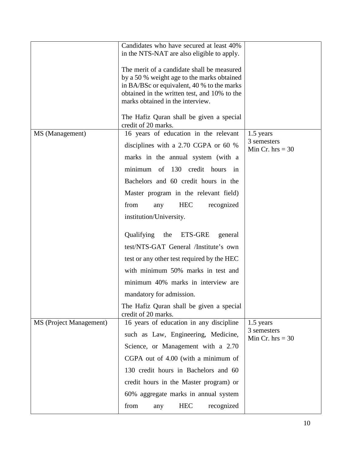|                         | Candidates who have secured at least 40%<br>in the NTS-NAT are also eligible to apply.<br>The merit of a candidate shall be measured<br>by a 50 % weight age to the marks obtained<br>in BA/BSc or equivalent, 40 % to the marks<br>obtained in the written test, and 10% to the<br>marks obtained in the interview.                                                                                                                                                                                                                             |                                                |
|-------------------------|--------------------------------------------------------------------------------------------------------------------------------------------------------------------------------------------------------------------------------------------------------------------------------------------------------------------------------------------------------------------------------------------------------------------------------------------------------------------------------------------------------------------------------------------------|------------------------------------------------|
|                         | The Hafiz Quran shall be given a special<br>credit of 20 marks.                                                                                                                                                                                                                                                                                                                                                                                                                                                                                  |                                                |
| MS (Management)         | 16 years of education in the relevant<br>disciplines with a 2.70 CGPA or 60 %<br>marks in the annual system (with a<br>minimum of 130 credit hours in<br>Bachelors and 60 credit hours in the<br>Master program in the relevant field)<br>from<br><b>HEC</b><br>recognized<br>any<br>institution/University.<br>Qualifying the ETS-GRE<br>general<br>test/NTS-GAT General /Institute's own<br>test or any other test required by the HEC<br>with minimum 50% marks in test and<br>minimum 40% marks in interview are<br>mandatory for admission. | 1.5 years<br>3 semesters<br>Min Cr. hrs $=$ 30 |
|                         | The Hafiz Quran shall be given a special<br>credit of 20 marks.                                                                                                                                                                                                                                                                                                                                                                                                                                                                                  |                                                |
| MS (Project Management) | 16 years of education in any discipline<br>such as Law, Engineering, Medicine,<br>Science, or Management with a 2.70<br>CGPA out of 4.00 (with a minimum of<br>130 credit hours in Bachelors and 60<br>credit hours in the Master program) or<br>60% aggregate marks in annual system<br>from<br><b>HEC</b><br>recognized<br>any                                                                                                                                                                                                                 | 1.5 years<br>3 semesters<br>Min Cr. $hrs = 30$ |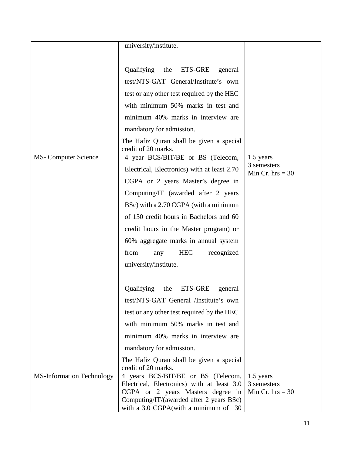|                                  | university/institute.                                                                                                                                                                                                                                                                              |                                                |
|----------------------------------|----------------------------------------------------------------------------------------------------------------------------------------------------------------------------------------------------------------------------------------------------------------------------------------------------|------------------------------------------------|
|                                  | Qualifying the ETS-GRE<br>general<br>test/NTS-GAT General/Institute's own<br>test or any other test required by the HEC<br>with minimum 50% marks in test and<br>minimum 40% marks in interview are<br>mandatory for admission.<br>The Hafiz Quran shall be given a special<br>credit of 20 marks. |                                                |
| <b>MS-Computer Science</b>       | 4 year BCS/BIT/BE or BS (Telecom,                                                                                                                                                                                                                                                                  | 1.5 years                                      |
|                                  | Electrical, Electronics) with at least 2.70                                                                                                                                                                                                                                                        | 3 semesters<br>Min Cr. $hrs = 30$              |
|                                  | CGPA or 2 years Master's degree in                                                                                                                                                                                                                                                                 |                                                |
|                                  | Computing/IT (awarded after 2 years                                                                                                                                                                                                                                                                |                                                |
|                                  | BSc) with a 2.70 CGPA (with a minimum                                                                                                                                                                                                                                                              |                                                |
|                                  | of 130 credit hours in Bachelors and 60                                                                                                                                                                                                                                                            |                                                |
|                                  | credit hours in the Master program) or                                                                                                                                                                                                                                                             |                                                |
|                                  | 60% aggregate marks in annual system                                                                                                                                                                                                                                                               |                                                |
|                                  | from<br><b>HEC</b><br>recognized<br>any                                                                                                                                                                                                                                                            |                                                |
|                                  | university/institute.                                                                                                                                                                                                                                                                              |                                                |
|                                  | Qualifying<br>the<br>ETS-GRE<br>general                                                                                                                                                                                                                                                            |                                                |
|                                  | test/NTS-GAT General /Institute's own                                                                                                                                                                                                                                                              |                                                |
|                                  | test or any other test required by the HEC                                                                                                                                                                                                                                                         |                                                |
|                                  | with minimum 50% marks in test and                                                                                                                                                                                                                                                                 |                                                |
|                                  | minimum 40% marks in interview are                                                                                                                                                                                                                                                                 |                                                |
|                                  | mandatory for admission.                                                                                                                                                                                                                                                                           |                                                |
| <b>MS-Information Technology</b> | The Hafiz Quran shall be given a special<br>credit of 20 marks.<br>4 years BCS/BIT/BE or BS (Telecom,<br>Electrical, Electronics) with at least 3.0<br>CGPA or 2 years Masters degree in<br>Computing/IT/(awarded after 2 years BSc)<br>with a 3.0 CGPA (with a minimum of 130                     | 1.5 years<br>3 semesters<br>Min Cr. $hrs = 30$ |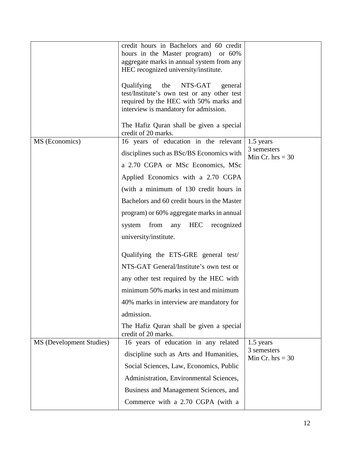|                          | credit hours in Bachelors and 60 credit<br>hours in the Master program)<br>or $60\%$<br>aggregate marks in annual system from any<br>HEC recognized university/institute.<br>Qualifying the<br>NTS-GAT<br>general<br>test/Institute's own test or any other test<br>required by the HEC with 50% marks and<br>interview is mandatory for admission.<br>The Hafiz Quran shall be given a special<br>credit of 20 marks.                                                                                                                                                                                                                               |                                                |
|--------------------------|------------------------------------------------------------------------------------------------------------------------------------------------------------------------------------------------------------------------------------------------------------------------------------------------------------------------------------------------------------------------------------------------------------------------------------------------------------------------------------------------------------------------------------------------------------------------------------------------------------------------------------------------------|------------------------------------------------|
| MS (Economics)           | 16 years of education in the relevant<br>disciplines such as BSc/BS Economics with<br>a 2.70 CGPA or MSc Economics, MSc<br>Applied Economics with a 2.70 CGPA<br>(with a minimum of 130 credit hours in<br>Bachelors and 60 credit hours in the Master<br>program) or 60% aggregate marks in annual<br>HEC recognized<br>from<br>any<br>system<br>university/institute.<br>Qualifying the ETS-GRE general test/<br>NTS-GAT General/Institute's own test or<br>any other test required by the HEC with<br>minimum 50% marks in test and minimum<br>40% marks in interview are mandatory for<br>admission.<br>The Hafiz Quran shall be given a special | 1.5 years<br>3 semesters<br>Min Cr. $hrs = 30$ |
| MS (Development Studies) | credit of 20 marks.<br>16 years of education in any related<br>discipline such as Arts and Humanities,<br>Social Sciences, Law, Economics, Public<br>Administration, Environmental Sciences,<br>Business and Management Sciences, and<br>Commerce with a 2.70 CGPA (with a                                                                                                                                                                                                                                                                                                                                                                           | 1.5 years<br>3 semesters<br>Min Cr. $hrs = 30$ |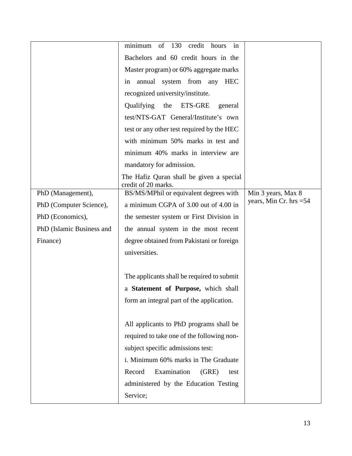|                           | minimum<br>of<br>130<br>credit<br>hours<br>in                   |                          |
|---------------------------|-----------------------------------------------------------------|--------------------------|
|                           | Bachelors and 60 credit hours in the                            |                          |
|                           | Master program) or 60% aggregate marks                          |                          |
|                           | annual system from any HEC<br>in                                |                          |
|                           | recognized university/institute.                                |                          |
|                           | Qualifying<br>the<br><b>ETS-GRE</b><br>general                  |                          |
|                           | test/NTS-GAT General/Institute's own                            |                          |
|                           | test or any other test required by the HEC                      |                          |
|                           | with minimum 50% marks in test and                              |                          |
|                           | minimum 40% marks in interview are                              |                          |
|                           | mandatory for admission.                                        |                          |
|                           | The Hafiz Quran shall be given a special<br>credit of 20 marks. |                          |
| PhD (Management),         | BS/MS/MPhil or equivalent degrees with                          | Min 3 years, Max 8       |
| PhD (Computer Science),   | a minimum CGPA of 3.00 out of 4.00 in                           | years, Min Cr. hrs $=54$ |
| PhD (Economics),          | the semester system or First Division in                        |                          |
| PhD (Islamic Business and | the annual system in the most recent                            |                          |
| Finance)                  | degree obtained from Pakistani or foreign                       |                          |
|                           | universities.                                                   |                          |
|                           |                                                                 |                          |
|                           | The applicants shall be required to submit                      |                          |
|                           | a Statement of Purpose, which shall                             |                          |
|                           | form an integral part of the application.                       |                          |
|                           |                                                                 |                          |
|                           | All applicants to PhD programs shall be                         |                          |
|                           | required to take one of the following non-                      |                          |
|                           |                                                                 |                          |
|                           | subject specific admissions test:                               |                          |
|                           | i. Minimum 60% marks in The Graduate                            |                          |
|                           | Examination<br>Record<br>(GRE)<br>test                          |                          |
|                           | administered by the Education Testing                           |                          |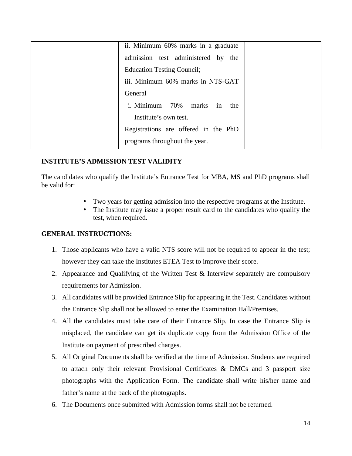| ii. Minimum 60% marks in a graduate  |  |
|--------------------------------------|--|
| admission test administered by the   |  |
| <b>Education Testing Council;</b>    |  |
| iii. Minimum 60% marks in NTS-GAT    |  |
| General                              |  |
| i. Minimum 70% marks in the          |  |
| Institute's own test.                |  |
| Registrations are offered in the PhD |  |
| programs throughout the year.        |  |

#### **INSTITUTE'S ADMISSION TEST VALIDITY**

The candidates who qualify the Institute's Entrance Test for MBA, MS and PhD programs shall be valid for:

- Two years for getting admission into the respective programs at the Institute.
- The Institute may issue a proper result card to the candidates who qualify the test, when required.

#### **GENERAL INSTRUCTIONS:**

- 1. Those applicants who have a valid NTS score will not be required to appear in the test; however they can take the Institutes ETEA Test to improve their score.
- 2. Appearance and Qualifying of the Written Test & Interview separately are compulsory requirements for Admission.
- 3. All candidates will be provided Entrance Slip for appearing in the Test. Candidates without the Entrance Slip shall not be allowed to enter the Examination Hall/Premises.
- 4. All the candidates must take care of their Entrance Slip. In case the Entrance Slip is misplaced, the candidate can get its duplicate copy from the Admission Office of the Institute on payment of prescribed charges.
- 5. All Original Documents shall be verified at the time of Admission. Students are required to attach only their relevant Provisional Certificates & DMCs and 3 passport size photographs with the Application Form. The candidate shall write his/her name and father's name at the back of the photographs.
- 6. The Documents once submitted with Admission forms shall not be returned.